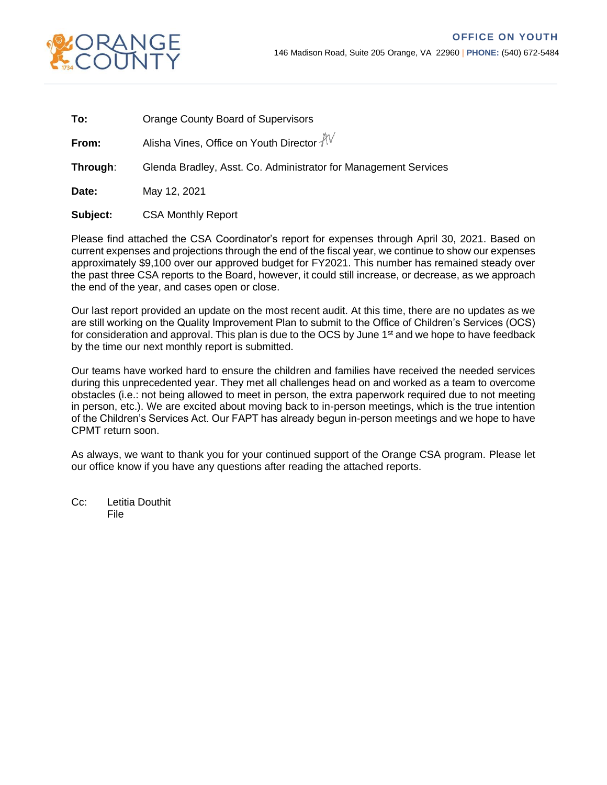

| To:      | Orange County Board of Supervisors                                |
|----------|-------------------------------------------------------------------|
| From:    | Alisha Vines, Office on Youth Director $\hat{\mathcal{H}}^{\vee}$ |
| Through: | Glenda Bradley, Asst. Co. Administrator for Management Services   |
| Date:    | May 12, 2021                                                      |
| Subject: | <b>CSA Monthly Report</b>                                         |

Please find attached the CSA Coordinator's report for expenses through April 30, 2021. Based on current expenses and projections through the end of the fiscal year, we continue to show our expenses approximately \$9,100 over our approved budget for FY2021. This number has remained steady over the past three CSA reports to the Board, however, it could still increase, or decrease, as we approach the end of the year, and cases open or close.

Our last report provided an update on the most recent audit. At this time, there are no updates as we are still working on the Quality Improvement Plan to submit to the Office of Children's Services (OCS) for consideration and approval. This plan is due to the OCS by June 1<sup>st</sup> and we hope to have feedback by the time our next monthly report is submitted.

Our teams have worked hard to ensure the children and families have received the needed services during this unprecedented year. They met all challenges head on and worked as a team to overcome obstacles (i.e.: not being allowed to meet in person, the extra paperwork required due to not meeting in person, etc.). We are excited about moving back to in-person meetings, which is the true intention of the Children's Services Act. Our FAPT has already begun in-person meetings and we hope to have CPMT return soon.

As always, we want to thank you for your continued support of the Orange CSA program. Please let our office know if you have any questions after reading the attached reports.

Cc: Letitia Douthit File